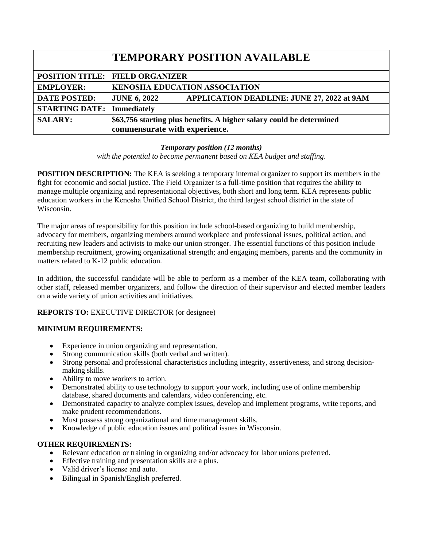|                                   | <b>TEMPORARY POSITION AVAILABLE</b>                                                                   |
|-----------------------------------|-------------------------------------------------------------------------------------------------------|
|                                   | <b>POSITION TITLE: FIELD ORGANIZER</b>                                                                |
| <b>EMPLOYER:</b>                  | <b>KENOSHA EDUCATION ASSOCIATION</b>                                                                  |
| <b>DATE POSTED:</b>               | <b>APPLICATION DEADLINE: JUNE 27, 2022 at 9AM</b><br><b>JUNE 6, 2022</b>                              |
| <b>STARTING DATE: Immediately</b> |                                                                                                       |
| <b>SALARY:</b>                    | \$63,756 starting plus benefits. A higher salary could be determined<br>commensurate with experience. |

### *Temporary position (12 months)*

*with the potential to become permanent based on KEA budget and staffing*.

**POSITION DESCRIPTION:** The KEA is seeking a temporary internal organizer to support its members in the fight for economic and social justice. The Field Organizer is a full-time position that requires the ability to manage multiple organizing and representational objectives, both short and long term. KEA represents public education workers in the Kenosha Unified School District, the third largest school district in the state of Wisconsin.

The major areas of responsibility for this position include school-based organizing to build membership, advocacy for members, organizing members around workplace and professional issues, political action, and recruiting new leaders and activists to make our union stronger. The essential functions of this position include membership recruitment, growing organizational strength; and engaging members, parents and the community in matters related to K-12 public education.

In addition, the successful candidate will be able to perform as a member of the KEA team, collaborating with other staff, released member organizers, and follow the direction of their supervisor and elected member leaders on a wide variety of union activities and initiatives.

### **REPORTS TO:** EXECUTIVE DIRECTOR (or designee)

### **MINIMUM REQUIREMENTS:**

- Experience in union organizing and representation.
- Strong communication skills (both verbal and written).
- Strong personal and professional characteristics including integrity, assertiveness, and strong decisionmaking skills.
- Ability to move workers to action.
- Demonstrated ability to use technology to support your work, including use of online membership database, shared documents and calendars, video conferencing, etc.
- Demonstrated capacity to analyze complex issues, develop and implement programs, write reports, and make prudent recommendations.
- Must possess strong organizational and time management skills.
- Knowledge of public education issues and political issues in Wisconsin.

### **OTHER REQUIREMENTS:**

- Relevant education or training in organizing and/or advocacy for labor unions preferred.
- Effective training and presentation skills are a plus.
- Valid driver's license and auto.
- Bilingual in Spanish/English preferred.